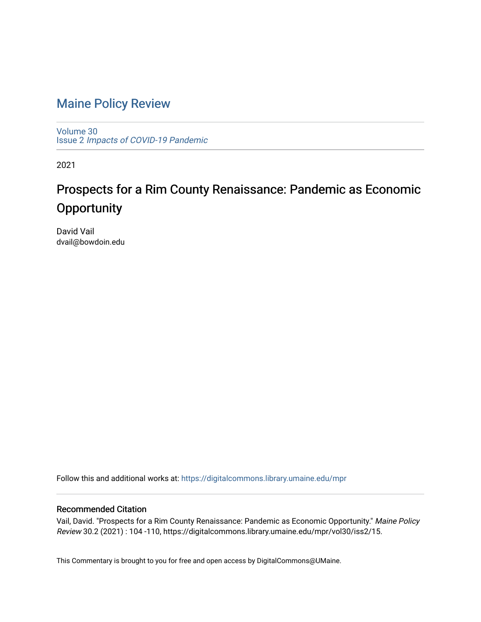# [Maine Policy Review](https://digitalcommons.library.umaine.edu/mpr)

[Volume 30](https://digitalcommons.library.umaine.edu/mpr/vol30) Issue 2 [Impacts of COVID-19 Pandemic](https://digitalcommons.library.umaine.edu/mpr/vol30/iss2)

2021

# Prospects for a Rim County Renaissance: Pandemic as Economic **Opportunity**

David Vail dvail@bowdoin.edu

Follow this and additional works at: [https://digitalcommons.library.umaine.edu/mpr](https://digitalcommons.library.umaine.edu/mpr?utm_source=digitalcommons.library.umaine.edu%2Fmpr%2Fvol30%2Fiss2%2F15&utm_medium=PDF&utm_campaign=PDFCoverPages)

## Recommended Citation

Vail, David. "Prospects for a Rim County Renaissance: Pandemic as Economic Opportunity." Maine Policy Review 30.2 (2021) : 104 -110, https://digitalcommons.library.umaine.edu/mpr/vol30/iss2/15.

This Commentary is brought to you for free and open access by DigitalCommons@UMaine.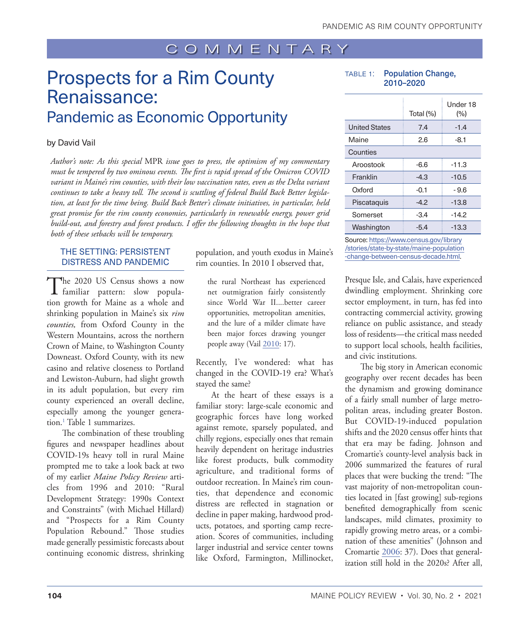# <span id="page-1-0"></span>Prospects for a Rim County Renaissance: Pandemic as Economic Opportunity

#### by David Vail

*Author's note: As this special* MPR *issue goes to press, the optimism of my commentary must be tempered by two ominous events. The first is rapid spread of the Omicron COVID variant in Maine's rim counties, with their low vaccination rates, even as the Delta variant continues to take a heavy toll. The second is scuttling of federal Build Back Better legislation, at least for the time being. Build Back Better's climate initiatives, in particular, held great promise for the rim county economies, particularly in renewable energy, power grid build-out, and forestry and forest products. I offer the following thoughts in the hope that both of these setbacks will be temporary.*

### THE SETTING: PERSISTENT DISTRESS AND PANDEMIC

The 2020 US Census shows a now familiar pattern: slow population growth for Maine as a whole and shrinking population in Maine's six *rim counties,* from Oxford County in the Western Mountains, across the northern Crown of Maine, to Washington County Downeast. Oxford County, with its new casino and relative closeness to Portland and Lewiston-Auburn, had slight growth in its adult population, but every rim county experienced an overall decline, especially among the younger generation[.1](#page-7-0) Table 1 summarizes.

The combination of these troubling figures and newspaper headlines about COVID-19s heavy toll in rural Maine prompted me to take a look back at two of my earlier *Maine Policy Review* articles from 1996 and 2010: "Rural Development Strategy: 1990s Context and Constraints" (with Michael Hillard) and "Prospects for a Rim County Population Rebound." Those studies made generally pessimistic forecasts about continuing economic distress, shrinking population, and youth exodus in Maine's rim counties. In 2010 I observed that,

the rural Northeast has experienced net outmigration fairly consistently since World War II....better career opportunities, metropolitan amenities, and the lure of a milder climate have been major forces drawing younger people away (Vail  $2010$ : 17).

Recently, I've wondered: what has changed in the COVID-19 era? What's stayed the same?

At the heart of these essays is a familiar story: large-scale economic and geographic forces have long worked against remote, sparsely populated, and chilly regions, especially ones that remain heavily dependent on heritage industries like forest products, bulk commodity agriculture, and traditional forms of outdoor recreation. In Maine's rim counties, that dependence and economic distress are reflected in stagnation or decline in paper making, hardwood products, potatoes, and sporting camp recreation. Scores of communities, including larger industrial and service center towns like Oxford, Farmington, Millinocket,

TABLE 1: Population Change, 2010–2020

|                      | Total (%) | Under 18<br>(%) |
|----------------------|-----------|-----------------|
| <b>United States</b> | 7.4       | $-1.4$          |
| Maine                | 2.6       | $-8.1$          |
| Counties             |           |                 |
| Aroostook            | $-6.6$    | $-11.3$         |
| Franklin             | $-4.3$    | $-10.5$         |
| Oxford               | $-0.1$    | - 9.6           |
| Piscataquis          | $-4.2$    | $-13.8$         |
| Somerset             | -3.4      | $-14.2$         |
| Washington           | $-5.4$    | -13.3           |

Source: [https://www.census.gov/library](https://www.census.gov/library/stories/state-by-state/maine-population-change-between-census-decade.html) [/stories/state-by-state/maine-population](https://www.census.gov/library/stories/state-by-state/maine-population-change-between-census-decade.html) [-change-between-census-decade.html](https://www.census.gov/library/stories/state-by-state/maine-population-change-between-census-decade.html).

Presque Isle, and Calais, have experienced dwindling employment. Shrinking core sector employment, in turn, has fed into contracting commercial activity, growing reliance on public assistance, and steady loss of residents—the critical mass needed to support local schools, health facilities, and civic institutions.

The big story in American economic geography over recent decades has been the dynamism and growing dominance of a fairly small number of large metropolitan areas, including greater Boston. But COVID-19-induced population shifts and the 2020 census offer hints that that era may be fading. Johnson and Cromartie's county-level analysis back in 2006 summarized the features of rural places that were bucking the trend: "The vast majority of non-metropolitan counties located in [fast growing] sub-regions benefited demographically from scenic landscapes, mild climates, proximity to rapidly growing metro areas, or a combination of these amenities" (Johnson and Cromartie [2006:](#page-7-2) 37). Does that generalization still hold in the 2020s? After all,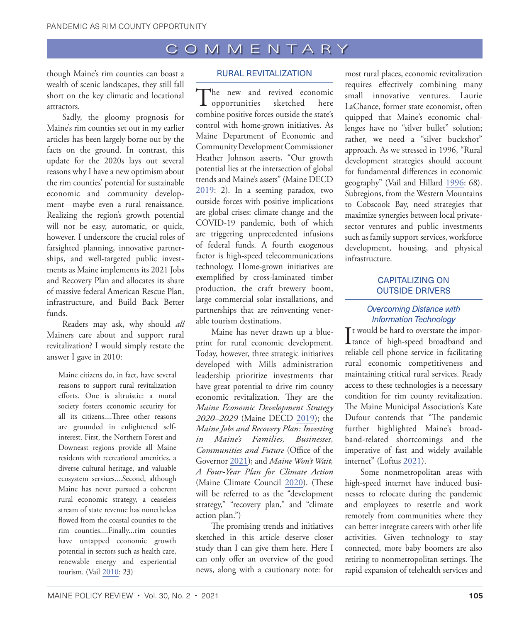though Maine's rim counties can boast a wealth of scenic landscapes, they still fall short on the key climatic and locational attractors.

Sadly, the gloomy prognosis for Maine's rim counties set out in my earlier articles has been largely borne out by the facts on the ground. In contrast, this update for the 2020s lays out several reasons why I have a new optimism about the rim counties' potential for sustainable economic and community development—maybe even a rural renaissance. Realizing the region's growth potential will not be easy, automatic, or quick, however. I underscore the crucial roles of farsighted planning, innovative partnerships, and well-targeted public investments as Maine implements its 2021 Jobs and Recovery Plan and allocates its share of massive federal American Rescue Plan, infrastructure, and Build Back Better funds.

Readers may ask, why should *all* Mainers care about and support rural revitalization? I would simply restate the answer I gave in 2010:

Maine citizens do, in fact, have several reasons to support rural revitalization efforts. One is altruistic: a moral society fosters economic security for all its citizens....Three other reasons are grounded in enlightened selfinterest. First, the Northern Forest and Downeast regions provide all Maine residents with recreational amenities, a diverse cultural heritage, and valuable ecosystem services....Second, although Maine has never pursued a coherent rural economic strategy, a ceaseless stream of state revenue has nonetheless flowed from the coastal counties to the rim counties....Finally...rim counties have untapped economic growth potential in sectors such as health care, renewable energy and experiential tourism. (Vail [2010](#page-7-1): 23)

### RURAL REVITALIZATION

The new and revived economic<br>opportunities sketched here  $\mathbf 1$  opportunities combine positive forces outside the state's control with home-grown initiatives. As Maine Department of Economic and Community Development Commissioner Heather Johnson asserts, "Our growth potential lies at the intersection of global trends and Maine's assets" (Maine DECD [2019:](#page-7-3) 2). In a seeming paradox, two outside forces with positive implications are global crises: climate change and the COVID-19 pandemic, both of which are triggering unprecedented infusions of federal funds. A fourth exogenous factor is high-speed telecommunications technology. Home-grown initiatives are exemplified by cross-laminated timber production, the craft brewery boom, large commercial solar installations, and partnerships that are reinventing venerable tourism destinations.

Maine has never drawn up a blueprint for rural economic development. Today, however, three strategic initiatives developed with Mills administration leadership prioritize investments that have great potential to drive rim county economic revitalization. They are the *Maine Economic Development Strategy 2020–2029* (Maine DECD [2019\)](#page-7-3); the *Maine Jobs and Recovery Plan: Investing in Maine's Families, Businesses, Communities and Future* (Office of the Governor [2021\)](#page-7-4); and *Maine Won't Wait, A Four-Year Plan for Climate Action* (Maine Climate Council [2020\)](#page-7-5). (These will be referred to as the "development strategy," "recovery plan," and "climate action plan.")

The promising trends and initiatives sketched in this article deserve closer study than I can give them here. Here I can only offer an overview of the good news, along with a cautionary note: for

most rural places, economic revitalization requires effectively combining many small innovative ventures. Laurie LaChance, former state economist, often quipped that Maine's economic challenges have no "silver bullet" solution; rather, we need a "silver buckshot" approach. As we stressed in 1996, "Rural development strategies should account for fundamental differences in economic geography" (Vail and Hillard [1996:](#page-7-6) 68). Subregions, from the Western Mountains to Cobscook Bay, need strategies that maximize synergies between local privatesector ventures and public investments such as family support services, workforce development, housing, and physical infrastructure.

### CAPITALIZING ON OUTSIDE DRIVERS

# *Overcoming Distance with Information Technology*

 $\prod_{\text{tance of high-speed broadband and }\atop{\text{t=1}}$ It would be hard to overstate the imporreliable cell phone service in facilitating rural economic competitiveness and maintaining critical rural services. Ready access to these technologies is a necessary condition for rim county revitalization. The Maine Municipal Association's Kate Dufour contends that "The pandemic further highlighted Maine's broadband-related shortcomings and the imperative of fast and widely available internet" (Loftus [2021\)](#page-7-7).

Some nonmetropolitan areas with high-speed internet have induced businesses to relocate during the pandemic and employees to resettle and work remotely from communities where they can better integrate careers with other life activities. Given technology to stay connected, more baby boomers are also retiring to nonmetropolitan settings. The rapid expansion of telehealth services and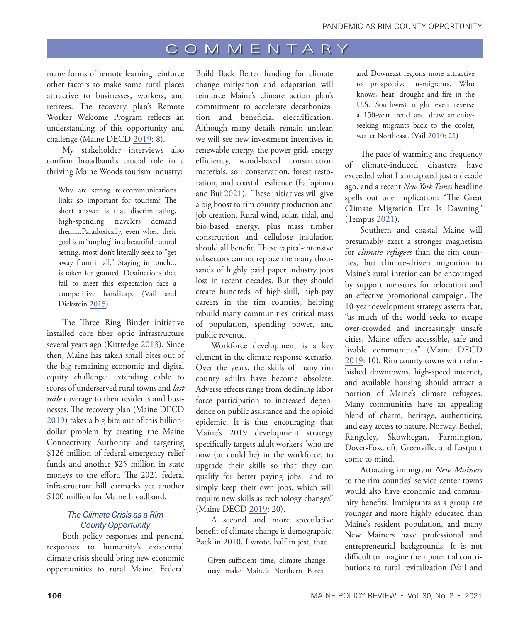many forms of remote learning reinforce other factors to make some rural places attractive to businesses, workers, and retirees. The recovery plan's Remote Worker Welcome Program reflects an understanding of this opportunity and challenge (Maine DECD [2019](#page-7-3): 8).

My stakeholder interviews also confirm broadband's crucial role in a thriving Maine Woods tourism industry:

Why are strong telecommunications links so important for tourism? The short answer is that discriminating, high-spending travelers demand them....Paradoxically, even when their goal is to "unplug" in a beautiful natural setting, most don't literally seek to "get away from it all." Staying in touch... is taken for granted. Destinations that fail to meet this expectation face a competitive handicap. (Vail and Dickstein [2015\)](#page-7-8)

The Three Ring Binder initiative installed core fiber optic infrastructure several years ago (Kittredge [2013\)](#page-7-9). Since then, Maine has taken small bites out of the big remaining economic and digital equity challenge: extending cable to scores of underserved rural towns and *last mile* coverage to their residents and businesses. The recovery plan (Maine DECD [2019](#page-7-3)) takes a big bite out of this billiondollar problem by creating the Maine Connectivity Authority and targeting \$126 million of federal emergency relief funds and another \$25 million in state moneys to the effort. The 2021 federal infrastructure bill earmarks yet another \$100 million for Maine broadband.

### *The Climate Crisis as a Rim County Opportunity*

Both policy responses and personal responses to humanity's existential climate crisis should bring new economic opportunities to rural Maine. Federal

Build Back Better funding for climate change mitigation and adaptation will reinforce Maine's climate action plan's commitment to accelerate decarbonization and beneficial electrification. Although many details remain unclear, we will see new investment incentives in renewable energy, the power grid, energy efficiency, wood-based construction materials, soil conservation, forest restoration, and coastal resilience (Parlapiano and Bui [2021](#page-7-10)). These initiatives will give a big boost to rim county production and job creation. Rural wind, solar, tidal, and bio-based energy, plus mass timber construction and cellulose insulation should all benefit. These capital-intensive subsectors cannot replace the many thousands of highly paid paper industry jobs lost in recent decades. But they should create hundreds of high-skill, high-pay careers in the rim counties, helping rebuild many communities' critical mass of population, spending power, and public revenue.

Workforce development is a key element in the climate response scenario. Over the years, the skills of many rim county adults have become obsolete. Adverse effects range from declining labor force participation to increased dependence on public assistance and the opioid epidemic. It is thus encouraging that Maine's 2019 development strategy specifically targets adult workers "who are now (or could be) in the workforce, to upgrade their skills so that they can qualify for better paying jobs—and to simply keep their own jobs, which will require new skills as technology changes" (Maine DECD [2019](#page-7-3): 20).

A second and more speculative benefit of climate change is demographic. Back in 2010, I wrote, half in jest, that

Given sufficient time, climate change may make Maine's Northern Forest and Downeast regions more attractive to prospective in-migrants. Who knows, heat, drought and fire in the U.S. Southwest might even reverse a 150-year trend and draw amenityseeking migrants back to the cooler, wetter Northeast. (Vail [2010:](#page-7-1) 21)

The pace of warming and frequency of climate-induced disasters have exceeded what I anticipated just a decade ago, and a recent *New York Times* headline spells out one implication: "The Great Climate Migration Era Is Dawning" (Tempus [2021\)](#page-7-11).

Southern and coastal Maine will presumably exert a stronger magnetism for *climate refugees* than the rim counties, but climate-driven migration to Maine's rural interior can be encouraged by support measures for relocation and an effective promotional campaign. The 10-year development strategy asserts that, "as much of the world seeks to escape over-crowded and increasingly unsafe cities, Maine offers accessible, safe and livable communities" (Maine DECD [2019](#page-7-3): 10). Rim county towns with refurbished downtowns, high-speed internet, and available housing should attract a portion of Maine's climate refugees. Many communities have an appealing blend of charm, heritage, authenticity, and easy access to nature. Norway, Bethel, Rangeley, Skowhegan, Farmington, Dover-Foxcroft, Greenville, and Eastport come to mind.

Attracting immigrant *New Mainers* to the rim counties' service center towns would also have economic and community benefits. Immigrants as a group are younger and more highly educated than Maine's resident population, and many New Mainers have professional and entrepreneurial backgrounds. It is not difficult to imagine their potential contributions to rural revitalization (Vail and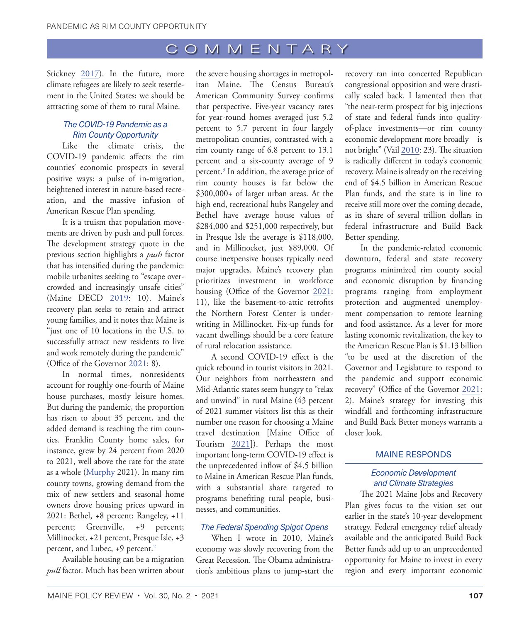<span id="page-4-0"></span>Stickney [2017\)](#page-7-12). In the future, more climate refugees are likely to seek resettlement in the United States; we should be attracting some of them to rural Maine.

#### *The COVID-19 Pandemic as a Rim County Opportunity*

Like the climate crisis, the COVID-19 pandemic affects the rim counties' economic prospects in several positive ways: a pulse of in-migration, heightened interest in nature-based recreation, and the massive infusion of American Rescue Plan spending.

It is a truism that population movements are driven by push and pull forces. The development strategy quote in the previous section highlights a *push* factor that has intensified during the pandemic: mobile urbanites seeking to "escape overcrowded and increasingly unsafe cities" (Maine DECD [2019:](#page-7-3) 10). Maine's recovery plan seeks to retain and attract young families, and it notes that Maine is "just one of 10 locations in the U.S. to successfully attract new residents to live and work remotely during the pandemic" (Office of the Governor [2021:](#page-7-4) 8).

In normal times, nonresidents account for roughly one-fourth of Maine house purchases, mostly leisure homes. But during the pandemic, the proportion has risen to about 35 percent, and the added demand is reaching the rim counties. Franklin County home sales, for instance, grew by 24 percent from 2020 to 2021, well above the rate for the state as a whole ([Murphy](#page-7-13) 2021). In many rim county towns, growing demand from the mix of new settlers and seasonal home owners drove housing prices upward in 2021: Bethel, +8 percent; Rangeley, +11 percent; Greenville, +9 percent; Millinocket, +21 percent, Presque Isle, +3 percent, and Lubec, +9 percent.<sup>2</sup>

Available housing can be a migration *pull* factor. Much has been written about

the severe housing shortages in metropolitan Maine. The Census Bureau's American Community Survey confirms that perspective. Five-year vacancy rates for year-round homes averaged just 5.2 percent to 5.7 percent in four largely metropolitan counties, contrasted with a rim county range of 6.8 percent to 13.1 percent and a six-county average of 9 percent.<sup>3</sup> In addition, the average price of rim county houses is far below the \$300,000+ of larger urban areas. At the high end, recreational hubs Rangeley and Bethel have average house values of \$284,000 and \$251,000 respectively, but in Presque Isle the average is \$118,000, and in Millinocket, just \$89,000. Of course inexpensive houses typically need major upgrades. Maine's recovery plan prioritizes investment in workforce housing (Office of the Governor [2021](#page-7-4): 11), like the basement-to-attic retrofits the Northern Forest Center is underwriting in Millinocket. Fix-up funds for vacant dwellings should be a core feature of rural relocation assistance.

A second COVID-19 effect is the quick rebound in tourist visitors in 2021. Our neighbors from northeastern and Mid-Atlantic states seem hungry to "relax and unwind" in rural Maine (43 percent of 2021 summer visitors list this as their number one reason for choosing a Maine travel destination [Maine Office of Tourism [2021](#page-7-14)]). Perhaps the most important long-term COVID-19 effect is the unprecedented inflow of \$4.5 billion to Maine in American Rescue Plan funds, with a substantial share targeted to programs benefiting rural people, businesses, and communities.

### *The Federal Spending Spigot Opens*

When I wrote in 2010, Maine's economy was slowly recovering from the Great Recession. The Obama administration's ambitious plans to jump-start the

recovery ran into concerted Republican congressional opposition and were drastically scaled back. I lamented then that "the near-term prospect for big injections of state and federal funds into qualityof-place investments—or rim county economic development more broadly—is not bright" (Vail [2010](#page-7-1): 23). The situation is radically different in today's economic recovery. Maine is already on the receiving end of \$4.5 billion in American Rescue Plan funds, and the state is in line to receive still more over the coming decade, as its share of several trillion dollars in federal infrastructure and Build Back Better spending.

In the pandemic-related economic downturn, federal and state recovery programs minimized rim county social and economic disruption by financing programs ranging from employment protection and augmented unemployment compensation to remote learning and food assistance. As a lever for more lasting economic revitalization, the key to the American Rescue Plan is \$1.13 billion "to be used at the discretion of the Governor and Legislature to respond to the pandemic and support economic recovery" (Office of the Governor [2021:](#page-7-4) 2). Maine's strategy for investing this windfall and forthcoming infrastructure and Build Back Better moneys warrants a closer look.

### MAINE RESPONDS

### *Economic Development and Climate Strategies*

The 2021 Maine Jobs and Recovery Plan gives focus to the vision set out earlier in the state's 10-year development strategy. Federal emergency relief already available and the anticipated Build Back Better funds add up to an unprecedented opportunity for Maine to invest in every region and every important economic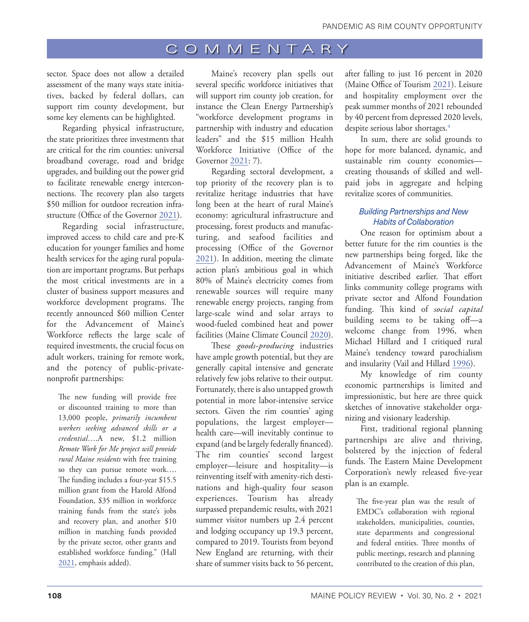<span id="page-5-0"></span>sector. Space does not allow a detailed assessment of the many ways state initiatives, backed by federal dollars, can support rim county development, but some key elements can be highlighted.

Regarding physical infrastructure, the state prioritizes three investments that are critical for the rim counties: universal broadband coverage, road and bridge upgrades, and building out the power grid to facilitate renewable energy interconnections. The recovery plan also targets \$50 million for outdoor recreation infrastructure (Office of the Governor [2021\)](#page-7-4).

Regarding social infrastructure, improved access to child care and pre-K education for younger families and home health services for the aging rural population are important programs. But perhaps the most critical investments are in a cluster of business support measures and workforce development programs. The recently announced \$60 million Center for the Advancement of Maine's Workforce reflects the large scale of required investments, the crucial focus on adult workers, training for remote work, and the potency of public-privatenonprofit partnerships:

The new funding will provide free or discounted training to more than 13,000 people, *primarily incumbent workers seeking advanced skills or a credential*….A new, \$1.2 million *Remote Work for Me project will provide rural Maine residents* with free training so they can pursue remote work…. The funding includes a four-year \$15.5 million grant from the Harold Alfond Foundation, \$35 million in workforce training funds from the state's jobs and recovery plan, and another \$10 million in matching funds provided by the private sector, other grants and established workforce funding." (Hall [2021](#page-7-15), emphasis added).

Maine's recovery plan spells out several specific workforce initiatives that will support rim county job creation, for instance the Clean Energy Partnership's "workforce development programs in partnership with industry and education leaders" and the \$15 million Health Workforce Initiative (Office of the Governor [2021](#page-7-4): 7).

Regarding sectoral development, a top priority of the recovery plan is to revitalize heritage industries that have long been at the heart of rural Maine's economy: agricultural infrastructure and processing, forest products and manufacturing, and seafood facilities and processing (Office of the Governor [2021\)](#page-7-4). In addition, meeting the climate action plan's ambitious goal in which 80% of Maine's electricity comes from renewable sources will require many renewable energy projects, ranging from large-scale wind and solar arrays to wood-fueled combined heat and power facilities (Maine Climate Council [2020\)](#page-7-5).

These *goods-producing* industries have ample growth potential, but they are generally capital intensive and generate relatively few jobs relative to their output. Fortunately, there is also untapped growth potential in more labor-intensive service sectors. Given the rim counties' aging populations, the largest employer health care—will inevitably continue to expand (and be largely federally financed). The rim counties' second largest employer—leisure and hospitality—is reinventing itself with amenity-rich destinations and high-quality four season experiences. Tourism has already surpassed prepandemic results, with 2021 summer visitor numbers up 2.4 percent and lodging occupancy up 19.3 percent, compared to 2019. Tourists from beyond New England are returning, with their share of summer visits back to 56 percent,

after falling to just 16 percent in 2020 (Maine Office of Tourism [2021](#page-7-14)). Leisure and hospitality employment over the peak summer months of 2021 rebounded by 40 percent from depressed 2020 levels, despite serious labor shortages.<sup>[4](#page-7-0)</sup>

In sum, there are solid grounds to hope for more balanced, dynamic, and sustainable rim county economies creating thousands of skilled and wellpaid jobs in aggregate and helping revitalize scores of communities.

## *Building Partnerships and New Habits of Collaboration*

One reason for optimism about a better future for the rim counties is the new partnerships being forged, like the Advancement of Maine's Workforce initiative described earlier. That effort links community college programs with private sector and Alfond Foundation funding. This kind of *social capital* building seems to be taking off—a welcome change from 1996, when Michael Hillard and I critiqued rural Maine's tendency toward parochialism and insularity (Vail and Hillard [1996](#page-7-6)).

My knowledge of rim county economic partnerships is limited and impressionistic, but here are three quick sketches of innovative stakeholder organizing and visionary leadership.

First, traditional regional planning partnerships are alive and thriving, bolstered by the injection of federal funds. The Eastern Maine Development Corporation's newly released five-year plan is an example.

The five-year plan was the result of EMDC's collaboration with regional stakeholders, municipalities, counties, state departments and congressional and federal entities. Three months of public meetings, research and planning contributed to the creation of this plan,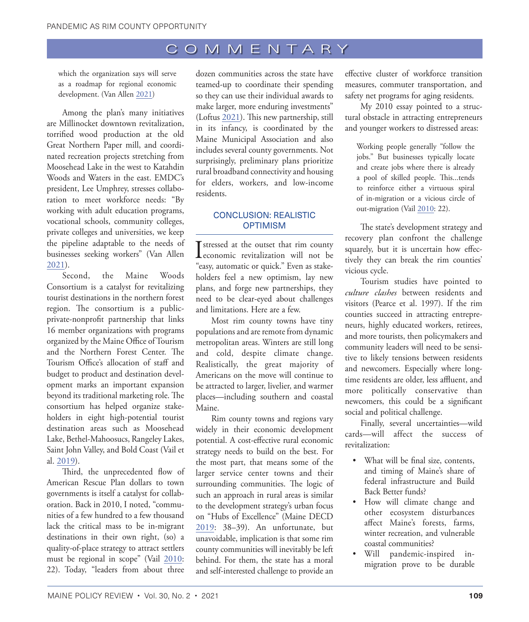which the organization says will serve as a roadmap for regional economic development. (Van Allen [2021](#page-7-16))

Among the plan's many initiatives are Millinocket downtown revitalization, torrified wood production at the old Great Northern Paper mill, and coordinated recreation projects stretching from Moosehead Lake in the west to Katahdin Woods and Waters in the east. EMDC's president, Lee Umphrey, stresses collaboration to meet workforce needs: "By working with adult education programs, vocational schools, community colleges, private colleges and universities, we keep the pipeline adaptable to the needs of businesses seeking workers" (Van Allen [2021](#page-7-16)).

Second, the Maine Woods Consortium is a catalyst for revitalizing tourist destinations in the northern forest region. The consortium is a publicprivate-nonprofit partnership that links 16 member organizations with programs organized by the Maine Office of Tourism and the Northern Forest Center. The Tourism Office's allocation of staff and budget to product and destination development marks an important expansion beyond its traditional marketing role. The consortium has helped organize stakeholders in eight high-potential tourist destination areas such as Moosehead Lake, Bethel-Mahoosucs, Rangeley Lakes, Saint John Valley, and Bold Coast (Vail et al. [2019\)](#page-7-6).

Third, the unprecedented flow of American Rescue Plan dollars to town governments is itself a catalyst for collaboration. Back in 2010, I noted, "communities of a few hundred to a few thousand lack the critical mass to be in-migrant destinations in their own right, (so) a quality-of-place strategy to attract settlers must be regional in scope" (Vail [2010:](#page-7-1) 22). Today, "leaders from about three

dozen communities across the state have teamed-up to coordinate their spending so they can use their individual awards to make larger, more enduring investments" (Loftus [2021\)](#page-7-7). This new partnership, still in its infancy, is coordinated by the Maine Municipal Association and also includes several county governments. Not surprisingly, preliminary plans prioritize rural broadband connectivity and housing for elders, workers, and low-income residents.

# CONCLUSION: REALISTIC **OPTIMISM**

I stressed at the outset that rim county<br>
economic revitalization will not be "easy, automatic or quick." Even as stakeholders feel a new optimism, lay new plans, and forge new partnerships, they need to be clear-eyed about challenges and limitations. Here are a few.

Most rim county towns have tiny populations and are remote from dynamic metropolitan areas. Winters are still long and cold, despite climate change. Realistically, the great majority of Americans on the move will continue to be attracted to larger, livelier, and warmer places—including southern and coastal Maine.

Rim county towns and regions vary widely in their economic development potential. A cost-effective rural economic strategy needs to build on the best. For the most part, that means some of the larger service center towns and their surrounding communities. The logic of such an approach in rural areas is similar to the development strategy's urban focus on "Hubs of Excellence" (Maine DECD [2019:](#page-7-3) 38–39). An unfortunate, but unavoidable, implication is that some rim county communities will inevitably be left behind. For them, the state has a moral and self-interested challenge to provide an

effective cluster of workforce transition measures, commuter transportation, and safety net programs for aging residents.

My 2010 essay pointed to a structural obstacle in attracting entrepreneurs and younger workers to distressed areas:

Working people generally "follow the jobs." But businesses typically locate and create jobs where there is already a pool of skilled people. This...tends to reinforce either a virtuous spiral of in-migration or a vicious circle of out-migration (Vail [2010:](#page-7-1) 22).

The state's development strategy and recovery plan confront the challenge squarely, but it is uncertain how effectively they can break the rim counties' vicious cycle.

Tourism studies have pointed to *culture clashes* between residents and visitors (Pearce et al. 1997). If the rim counties succeed in attracting entrepreneurs, highly educated workers, retirees, and more tourists, then policymakers and community leaders will need to be sensitive to likely tensions between residents and newcomers. Especially where longtime residents are older, less affluent, and more politically conservative than newcomers, this could be a significant social and political challenge.

Finally, several uncertainties—wild cards—will affect the success of revitalization:

- What will be final size, contents, and timing of Maine's share of federal infrastructure and Build Back Better funds?
- How will climate change and other ecosystem disturbances affect Maine's forests, farms, winter recreation, and vulnerable coastal communities?
- Will pandemic-inspired inmigration prove to be durable